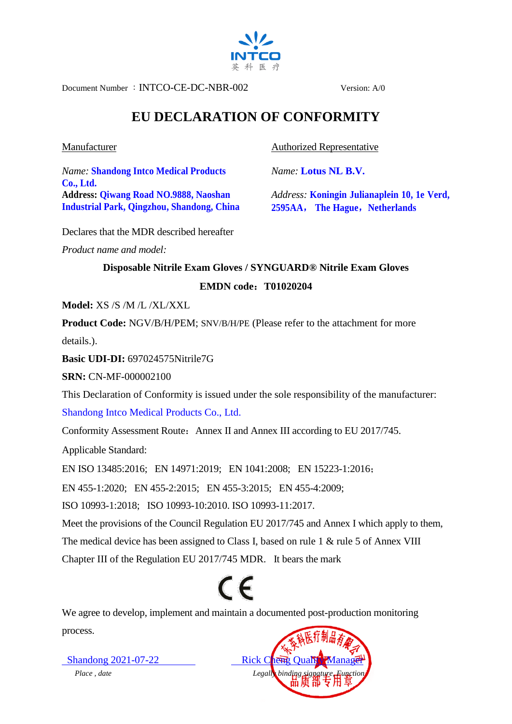

Document Number :INTCO-CE-DC-NBR-002 Version: A/0

## **EU DECLARATION OF CONFORMITY**

## Manufacturer

*Name:* **Shandong Intco Medical Products Co., Ltd. Address: Qiwang Road NO.9888, Naoshan Industrial Park, Qingzhou, Shandong, China** Authorized Representative

*Name:* **Lotus NL B.V.**

*Address:* **Koningin Julianaplein 10, 1e Verd, 2595AA**, **The Hague**,**Netherlands**

Declares that the MDR described hereafter

*Product name and model:* 

## **Disposable Nitrile Exam Gloves / SYNGUARD® Nitrile Exam Gloves EMDN code**:**T01020204**

**Model:** XS /S /M /L /XL/XXL

**Product Code:** NGV/B/H/PEM; SNV/B/H/PE (Please refer to the attachment for more details.).

**Basic UDI-DI:** 697024575Nitrile7G

**SRN:** CN-MF-000002100

This Declaration of Conformity is issued under the sole responsibility of the manufacturer:

Shandong Intco Medical Products Co., Ltd.

Conformity Assessment Route: Annex II and Annex III according to EU 2017/745.

Applicable Standard:

EN ISO 13485:2016; EN 14971:2019; EN 1041:2008; EN 15223-1:2016;

EN 455-1:2020; EN 455-2:2015; EN 455-3:2015; EN 455-4:2009;

ISO 10993-1:2018; ISO 10993-10:2010. ISO 10993-11:2017.

Meet the provisions of the Council Regulation EU 2017/745 and Annex I which apply to them,

The medical device has been assigned to Class I, based on rule 1 & rule 5 of Annex VIII

Chapter III of the Regulation EU 2017/745 MDR. It bears the mark

## $\epsilon$

We agree to develop, implement and maintain a documented post-production monitoring process.

Shandong  $2021-07-22$  Rick Cheng *Place* , date Legally binding signature, Functional Security binding signature, Functional Security binding signature, Functional Security binding signature, Functional Security binding signature, Functional Security bi

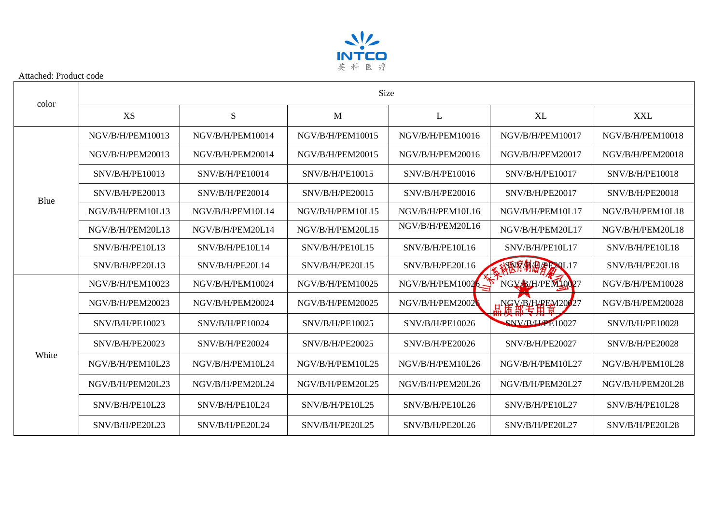

| color | <b>Size</b>      |                    |                  |                  |                  |                  |  |  |
|-------|------------------|--------------------|------------------|------------------|------------------|------------------|--|--|
|       | XS               | S                  | M                | L                | <b>XL</b>        | <b>XXL</b>       |  |  |
| Blue  | NGV/B/H/PEM10013 | NGV/B/H/PEM10014   | NGV/B/H/PEM10015 | NGV/B/H/PEM10016 | NGV/B/H/PEM10017 | NGV/B/H/PEM10018 |  |  |
|       | NGV/B/H/PEM20013 | NGV/B/H/PEM20014   | NGV/B/H/PEM20015 | NGV/B/H/PEM20016 | NGV/B/H/PEM20017 | NGV/B/H/PEM20018 |  |  |
|       | SNV/B/H/PE10013  | $S$ NV/B/H/PE10014 | SNV/B/H/PE10015  | SNV/B/H/PE10016  | SNV/B/H/PE10017  | SNV/B/H/PE10018  |  |  |
|       | SNV/B/H/PE20013  | SNV/B/H/PE20014    | SNV/B/H/PE20015  | SNV/B/H/PE20016  | SNV/B/H/PE20017  | SNV/B/H/PE20018  |  |  |
|       | NGV/B/H/PEM10L13 | NGV/B/H/PEM10L14   | NGV/B/H/PEM10L15 | NGV/B/H/PEM10L16 | NGV/B/H/PEM10L17 | NGV/B/H/PEM10L18 |  |  |
|       | NGV/B/H/PEM20L13 | NGV/B/H/PEM20L14   | NGV/B/H/PEM20L15 | NGV/B/H/PEM20L16 | NGV/B/H/PEM20L17 | NGV/B/H/PEM20L18 |  |  |
|       | SNV/B/H/PE10L13  | SNV/B/H/PE10L14    | SNV/B/H/PE10L15  | SNV/B/H/PE10L16  | SNV/B/H/PE10L17  | SNV/B/H/PE10L18  |  |  |
|       | SNV/B/H/PE20L13  | SNV/B/H/PE20L14    | SNV/B/H/PE20L15  | SNV/B/H/PE20L16  | SPST制盘&BL20L17   | SNV/B/H/PE20L18  |  |  |
| White | NGV/B/H/PEM10023 | NGV/B/H/PEM10024   | NGV/B/H/PEM10025 | NGV/B/H/PEM1002  | NGV B/H/PEM10027 | NGV/B/H/PEM10028 |  |  |
|       | NGV/B/H/PEM20023 | NGV/B/H/PEM20024   | NGV/B/H/PEM20025 | NGV/B/H/PEM2002  | H 清新专用 20027     | NGV/B/H/PEM20028 |  |  |
|       | SNV/B/H/PE10023  | SNV/B/H/PE10024    | SNV/B/H/PE10025  | SNV/B/H/PE10026  | SNV/B/HPE10027   | SNV/B/H/PE10028  |  |  |
|       | SNV/B/H/PE20023  | SNV/B/H/PE20024    | SNV/B/H/PE20025  | SNV/B/H/PE20026  | SNV/B/H/PE20027  | SNV/B/H/PE20028  |  |  |
|       | NGV/B/H/PEM10L23 | NGV/B/H/PEM10L24   | NGV/B/H/PEM10L25 | NGV/B/H/PEM10L26 | NGV/B/H/PEM10L27 | NGV/B/H/PEM10L28 |  |  |
|       | NGV/B/H/PEM20L23 | NGV/B/H/PEM20L24   | NGV/B/H/PEM20L25 | NGV/B/H/PEM20L26 | NGV/B/H/PEM20L27 | NGV/B/H/PEM20L28 |  |  |
|       | SNV/B/H/PE10L23  | SNV/B/H/PE10L24    | SNV/B/H/PE10L25  | SNV/B/H/PE10L26  | SNV/B/H/PE10L27  | SNV/B/H/PE10L28  |  |  |
|       | SNV/B/H/PE20L23  | SNV/B/H/PE20L24    | SNV/B/H/PE20L25  | SNV/B/H/PE20L26  | SNV/B/H/PE20L27  | SNV/B/H/PE20L28  |  |  |